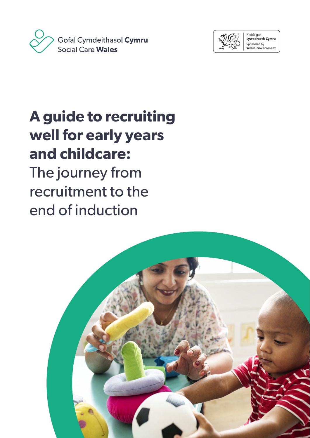



Noddir gan<br>**Lywodraeth Cymru** Sponsored by Welsh Government

# **A guide to recruiting well for early years and childcare:** The journey from recruitment to the end of induction

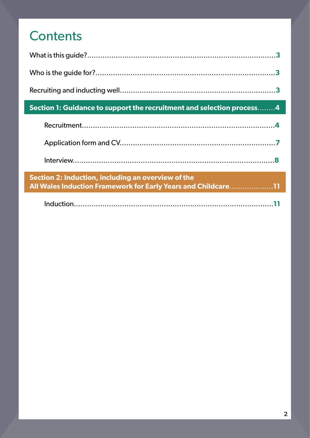## **Contents**

| Section 1: Guidance to support the recruitment and selection process4                                               |  |
|---------------------------------------------------------------------------------------------------------------------|--|
|                                                                                                                     |  |
|                                                                                                                     |  |
|                                                                                                                     |  |
| Section 2: Induction, including an overview of the<br>All Wales Induction Framework for Early Years and Childcare11 |  |
|                                                                                                                     |  |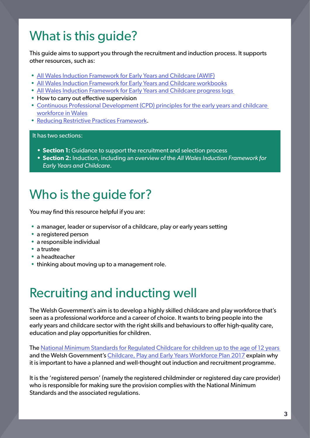## <span id="page-2-0"></span>What is this guide?

This guide aims to support you through the recruitment and induction process. It supports other resources, such as:

- [All Wales Induction Framework for Early Years and Childcare \(AWIF\)](https://socialcare.wales/learning-and-development/guidance-for-managers-and-employers-1)
- [All Wales Induction Framework for Early Years and Childcare workbooks](https://socialcare.wales/learning-and-development/workbooks-1)
- [All Wales Induction Framework for Early Years and Childcare progress logs](https://socialcare.wales/learning-and-development/progress-logs-1)
- How to carry out effective supervision
- [Continuous Professional Development \(CPD\) principles for the early years and childcare](https://socialcare.wales/cms_assets/file-uploads/CPD-ENG.pdf)  [workforce in Wales](https://socialcare.wales/cms_assets/file-uploads/CPD-ENG.pdf)
- [Reducing Restrictive Practices Framework.](https://gov.wales/reducing-restrictive-practices-framework-2021)

#### It has two sections:

- **• Section 1:** Guidance to support the recruitment and selection process
- **• Section 2:** Induction, including an overview of the *All Wales Induction Framework for Early Years and Childcare*.

### Who is the guide for?

You may find this resource helpful if you are:

- a manager, leader or supervisor of a childcare, play or early years setting
- a registered person
- a responsible individual
- a trustee
- a headteacher
- thinking about moving up to a management role.

### Recruiting and inducting well

The Welsh Government's aim is to develop a highly skilled childcare and play workforce that's seen as a professional workforce and a career of choice. It wants to bring people into the early years and childcare sector with the right skills and behaviours to offer high-quality care, education and play opportunities for children.

The [National Minimum Standards for Regulated Childcare for children up to the age of 12 years](https://careinspectorate.wales/sites/default/files/2018-01/160411regchildcareen.pdf)  and the Welsh Government's [Childcare, Play and Early Years Workforce Plan 2017](https://senedd.wales/ministerial%20statements%20documents/childcare,%20play%20and%20early%20years%20workforce%20plan/childcare%20play%20and%20early%20years%20workforce%20plan%20-%20english.pdf) explain why it is important to have a planned and well-thought out induction and recruitment programme.

It is the 'registered person' (namely the registered childminder or registered day care provider) who is responsible for making sure the provision complies with the National Minimum Standards and the associated regulations.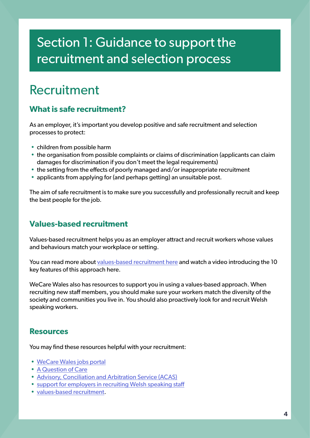### <span id="page-3-0"></span>Section 1: Guidance to support the recruitment and selection process

### Recruitment

#### **What is safe recruitment?**

As an employer, it's important you develop positive and safe recruitment and selection processes to protect:

- children from possible harm
- the organisation from possible complaints or claims of discrimination (applicants can claim damages for discrimination if you don't meet the legal requirements)
- the setting from the effects of poorly managed and/or inappropriate recruitment
- applicants from applying for (and perhaps getting) an unsuitable post.

The aim of safe recruitment is to make sure you successfully and professionally recruit and keep the best people for the job.

#### **Values-based recruitment**

Values-based recruitment helps you as an employer attract and recruit workers whose values and behaviours match your workplace or setting.

You can read more about [values-based recruitment here](https://www.humanlearning.systems/blog/values-based-recruitment-insights-from-wellbeing-teams/) and watch a video introducing the 10 key features of this approach here.

WeCare Wales also has resources to support you in using a values-based approach. When recruiting new staff members, you should make sure your workers match the diversity of the society and communities you live in. You should also proactively look for and recruit Welsh speaking workers.

#### **Resources**

You may find these resources helpful with your recruitment:

- [WeCare Wales jobs portal](http://www.wecare.wales/jobs)
- [A Question of Care](https://wecare.wales/a-question-of-care-intro/)
- [Advisory, Conciliation and Arbitration Service \(ACAS\)](https://www.acas.org.uk/)
- [support for employers in recruiting Welsh speaking staff](https://learnwelsh.cymru/work-welsh/support-for-employers/)
- [values-based recruitment](https://www.humanlearning.systems/blog/values-based-recruitment-insights-from-wellbeing-teams/).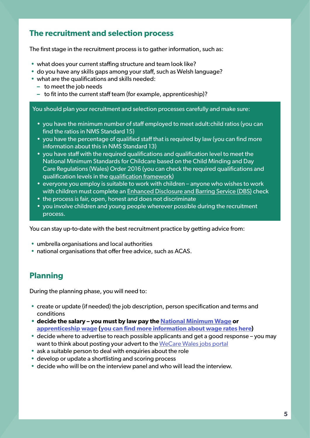#### **The recruitment and selection process**

The first stage in the recruitment process is to gather information, such as:

- what does your current staffing structure and team look like?
- do you have any skills gaps among your staff, such as Welsh language?
- what are the qualifications and skills needed:
	- **–** to meet the job needs
	- **–** to fit into the current staff team (for example, apprenticeship)?

You should plan your recruitment and selection processes carefully and make sure:

- you have the minimum number of staff employed to meet adult:child ratios (you can find the ratios in NMS Standard 15)
- you have the percentage of qualified staff that is required by law (you can find more information about this in NMS Standard 13)
- you have staff with the required qualifications and qualification level to meet the National Minimum Standards for Childcare based on the Child Minding and Day Care Regulations (Wales) Order 2016 (you can check the required qualifications and qualification levels in the [qualification framework](https://socialcare.wales/qualification-framework))
- everyone you employ is suitable to work with children anyone who wishes to work with children must complete an [Enhanced Disclosure and Barring Service \(DBS\)](https://www.gov.uk/government/organisations/disclosure-and-barring-service) check
- the process is fair, open, honest and does not discriminate
- you involve children and young people wherever possible during the recruitment process.

You can stay up-to-date with the best recruitment practice by getting advice from:

- umbrella organisations and local authorities
- national organisations that offer free advice, such as ACAS.

#### **Planning**

During the planning phase, you will need to:

- create or update (if needed) the job description, person specification and terms and conditions
- **• decide the salary you must by law pay the [National Minimum Wage](https://www.gov.uk/national-minimum-wage) or [apprenticeship wage](https://gov.wales/apprenticeships) [\(you can find more information about wage rates here](https://www.gov.uk/national-minimum-wage-rates))**
- decide where to advertise to reach possible applicants and get a good response you may want to think about posting your advert to the [WeCare Wales jobs portal](http://www.wecare.wales/jobs)
- ask a suitable person to deal with enquiries about the role
- develop or update a shortlisting and scoring process
- decide who will be on the interview panel and who will lead the interview.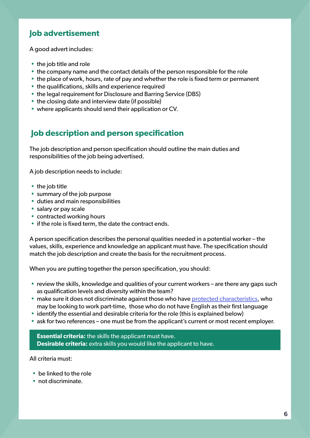#### **Job advertisement**

A good advert includes:

- the job title and role
- the company name and the contact details of the person responsible for the role
- the place of work, hours, rate of pay and whether the role is fixed term or permanent
- the qualifications, skills and experience required
- the legal requirement for Disclosure and Barring Service (DBS)
- the closing date and interview date (if possible)
- where applicants should send their application or CV.

#### **Job description and person specification**

The job description and person specification should outline the main duties and responsibilities of the job being advertised.

A job description needs to include:

- the job title
- summary of the job purpose
- duties and main responsibilities
- salary or pay scale
- contracted working hours
- if the role is fixed term, the date the contract ends.

A person specification describes the personal qualities needed in a potential worker – the values, skills, experience and knowledge an applicant must have. The specification should match the job description and create the basis for the recruitment process.

When you are putting together the person specification, you should:

- review the skills, knowledge and qualities of your current workers are there any gaps such as qualification levels and diversity within the team?
- make sure it does not discriminate against those who have [protected characteristics,](https://www.gov.uk/discrimination-your-rights) who may be looking to work part-time, those who do not have English as their first language
- identify the essential and desirable criteria for the role (this is explained below)
- ask for two references one must be from the applicant's current or most recent employer.

**Essential criteria:** the skills the applicant must have. **Desirable criteria:** extra skills you would like the applicant to have.

All criteria must:

- be linked to the role
- not discriminate.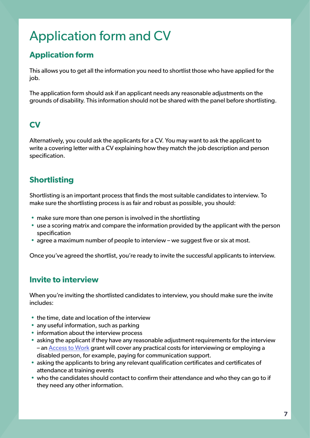## <span id="page-6-0"></span>Application form and CV

### **Application form**

This allows you to get all the information you need to shortlist those who have applied for the job.

The application form should ask if an applicant needs any reasonable adjustments on the grounds of disability. This information should not be shared with the panel before shortlisting.

#### **CV**

Alternatively, you could ask the applicants for a CV. You may want to ask the applicant to write a covering letter with a CV explaining how they match the job description and person specification.

### **Shortlisting**

Shortlisting is an important process that finds the most suitable candidates to interview. To make sure the shortlisting process is as fair and robust as possible, you should:

- make sure more than one person is involved in the shortlisting
- use a scoring matrix and compare the information provided by the applicant with the person specification
- agree a maximum number of people to interview we suggest five or six at most.

Once you've agreed the shortlist, you're ready to invite the successful applicants to interview.

#### **Invite to interview**

When you're inviting the shortlisted candidates to interview, you should make sure the invite includes:

- the time, date and location of the interview
- any useful information, such as parking
- information about the interview process
- asking the applicant if they have any reasonable adjustment requirements for the interview – an [Access to Work](https://www.gov.uk/government/publications/access-to-work-guide-for-employers/access-to-work-factsheet-for-employers) grant will cover any practical costs for interviewing or employing a disabled person, for example, paying for communication support.
- asking the applicants to bring any relevant qualification certificates and certificates of attendance at training events
- who the candidates should contact to confirm their attendance and who they can go to if they need any other information.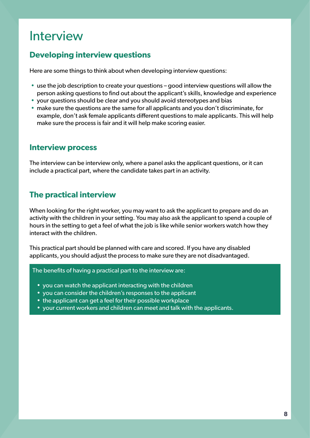### <span id="page-7-0"></span>Interview

#### **Developing interview questions**

Here are some things to think about when developing interview questions:

- use the job description to create your questions good interview questions will allow the person asking questions to find out about the applicant's skills, knowledge and experience
- your questions should be clear and you should avoid stereotypes and bias
- make sure the questions are the same for all applicants and you don't discriminate, for example, don't ask female applicants different questions to male applicants. This will help make sure the process is fair and it will help make scoring easier.

#### **Interview process**

The interview can be interview only, where a panel asks the applicant questions, or it can include a practical part, where the candidate takes part in an activity.

#### **The practical interview**

When looking for the right worker, you may want to ask the applicant to prepare and do an activity with the children in your setting. You may also ask the applicant to spend a couple of hours in the setting to get a feel of what the job is like while senior workers watch how they interact with the children.

This practical part should be planned with care and scored. If you have any disabled applicants, you should adjust the process to make sure they are not disadvantaged.

The benefits of having a practical part to the interview are:

- you can watch the applicant interacting with the children
- you can consider the children's responses to the applicant
- the applicant can get a feel for their possible workplace
- your current workers and children can meet and talk with the applicants.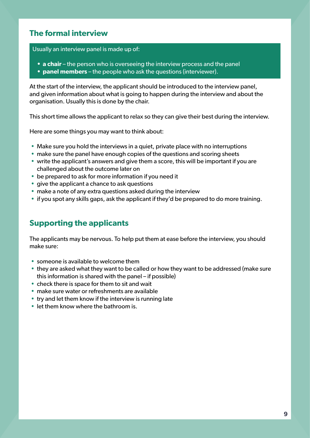#### **The formal interview**

Usually an interview panel is made up of:

- **a chair** the person who is overseeing the interview process and the panel
- **• panel members** the people who ask the questions (interviewer).

At the start of the interview, the applicant should be introduced to the interview panel, and given information about what is going to happen during the interview and about the organisation. Usually this is done by the chair.

This short time allows the applicant to relax so they can give their best during the interview.

Here are some things you may want to think about:

- Make sure you hold the interviews in a quiet, private place with no interruptions
- make sure the panel have enough copies of the questions and scoring sheets
- write the applicant's answers and give them a score, this will be important if you are challenged about the outcome later on
- be prepared to ask for more information if you need it
- give the applicant a chance to ask questions
- make a note of any extra questions asked during the interview
- if you spot any skills gaps, ask the applicant if they'd be prepared to do more training.

#### **Supporting the applicants**

The applicants may be nervous. To help put them at ease before the interview, you should make sure:

- someone is available to welcome them
- they are asked what they want to be called or how they want to be addressed (make sure this information is shared with the panel – if possible)
- check there is space for them to sit and wait
- make sure water or refreshments are available
- try and let them know if the interview is running late
- let them know where the bathroom is.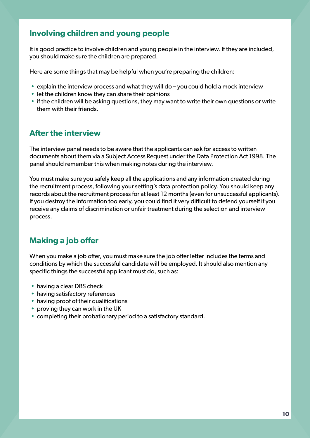#### **Involving children and young people**

It is good practice to involve children and young people in the interview. If they are included, you should make sure the children are prepared.

Here are some things that may be helpful when you're preparing the children:

- explain the interview process and what they will do you could hold a mock interview
- let the children know they can share their opinions
- if the children will be asking questions, they may want to write their own questions or write them with their friends.

#### **After the interview**

The interview panel needs to be aware that the applicants can ask for access to written documents about them via a Subject Access Request under the Data Protection Act 1998. The panel should remember this when making notes during the interview.

You must make sure you safely keep all the applications and any information created during the recruitment process, following your setting's data protection policy. You should keep any records about the recruitment process for at least 12 months (even for unsuccessful applicants). If you destroy the information too early, you could find it very difficult to defend yourself if you receive any claims of discrimination or unfair treatment during the selection and interview process.

### **Making a job offer**

When you make a job offer, you must make sure the job offer letter includes the terms and conditions by which the successful candidate will be employed. It should also mention any specific things the successful applicant must do, such as:

- having a clear DBS check
- having satisfactory references
- having proof of their qualifications
- proving they can work in the UK
- completing their probationary period to a satisfactory standard.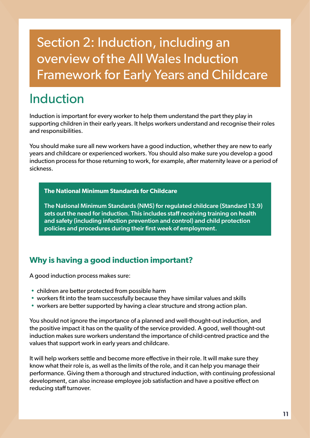## <span id="page-10-0"></span>Section 2: Induction, including an overview of the All Wales Induction Framework for Early Years and Childcare

## Induction

Induction is important for every worker to help them understand the part they play in supporting children in their early years. It helps workers understand and recognise their roles and responsibilities.

You should make sure all new workers have a good induction, whether they are new to early years and childcare or experienced workers. You should also make sure you develop a good induction process for those returning to work, for example, after maternity leave or a period of sickness.

#### **The National Minimum Standards for Childcare**

The National Minimum Standards (NMS) for regulated childcare (Standard 13.9) sets out the need for induction. This includes staff receiving training on health and safety (including infection prevention and control) and child protection policies and procedures during their first week of employment.

#### **Why is having a good induction important?**

A good induction process makes sure:

- children are better protected from possible harm
- workers fit into the team successfully because they have similar values and skills
- workers are better supported by having a clear structure and strong action plan.

You should not ignore the importance of a planned and well-thought-out induction, and the positive impact it has on the quality of the service provided. A good, well thought-out induction makes sure workers understand the importance of child-centred practice and the values that support work in early years and childcare.

It will help workers settle and become more effective in their role. It will make sure they know what their role is, as well as the limits of the role, and it can help you manage their performance. Giving them a thorough and structured induction, with continuing professional development, can also increase employee job satisfaction and have a positive effect on reducing staff turnover.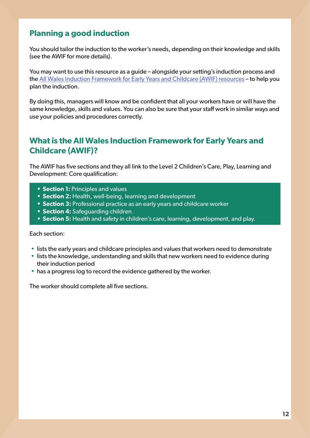#### **Planning a good induction**

You should tailor the induction to the worker's needs, depending on their knowledge and skills (see the AWIF for more details).

You may want to use this resource as a guide – alongside your setting's induction process and the [All Wales Induction Framework for Early Years and Childcare \(AWIF\) resources](https://socialcare.wales/learning-and-development/induction-for-early-years-and-child-care) – to help you plan the induction.

By doing this, managers will know and be confident that all your workers have or will have the same knowledge, skills and values. You can also be sure that your staff work in similar ways and use your policies and procedures correctly.

#### **What is the All Wales Induction Framework for Early Years and Childcare (AWIF)?**

The AWIF has five sections and they all link to the Level 2 Children's Care, Play, Learning and Development: Core qualification:

- **• Section 1:** Principles and values
- **• Section 2:** Health, well-being, learning and development
- **• Section 3:** Professional practice as an early years and childcare worker
- **• Section 4:** Safeguarding children
- **• Section 5:** Health and safety in children's care, learning, development, and play.

#### Each section:

- lists the early years and childcare principles and values that workers need to demonstrate
- lists the knowledge, understanding and skills that new workers need to evidence during their induction period
- has a progress log to record the evidence gathered by the worker.

The worker should complete all five sections.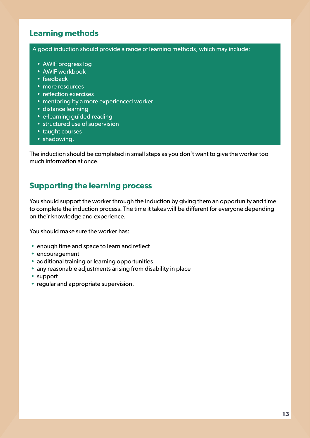#### **Learning methods**

A good induction should provide a range of learning methods, which may include:

- AWIF progress log
- AWIF workbook
- feedback
- more resources
- reflection exercises
- mentoring by a more experienced worker
- distance learning
- e-learning guided reading
- structured use of supervision
- taught courses
- shadowing.

The induction should be completed in small steps as you don't want to give the worker too much information at once.

#### **Supporting the learning process**

You should support the worker through the induction by giving them an opportunity and time to complete the induction process. The time it takes will be different for everyone depending on their knowledge and experience.

You should make sure the worker has:

- enough time and space to learn and reflect
- encouragement
- additional training or learning opportunities
- any reasonable adjustments arising from disability in place
- support
- regular and appropriate supervision.